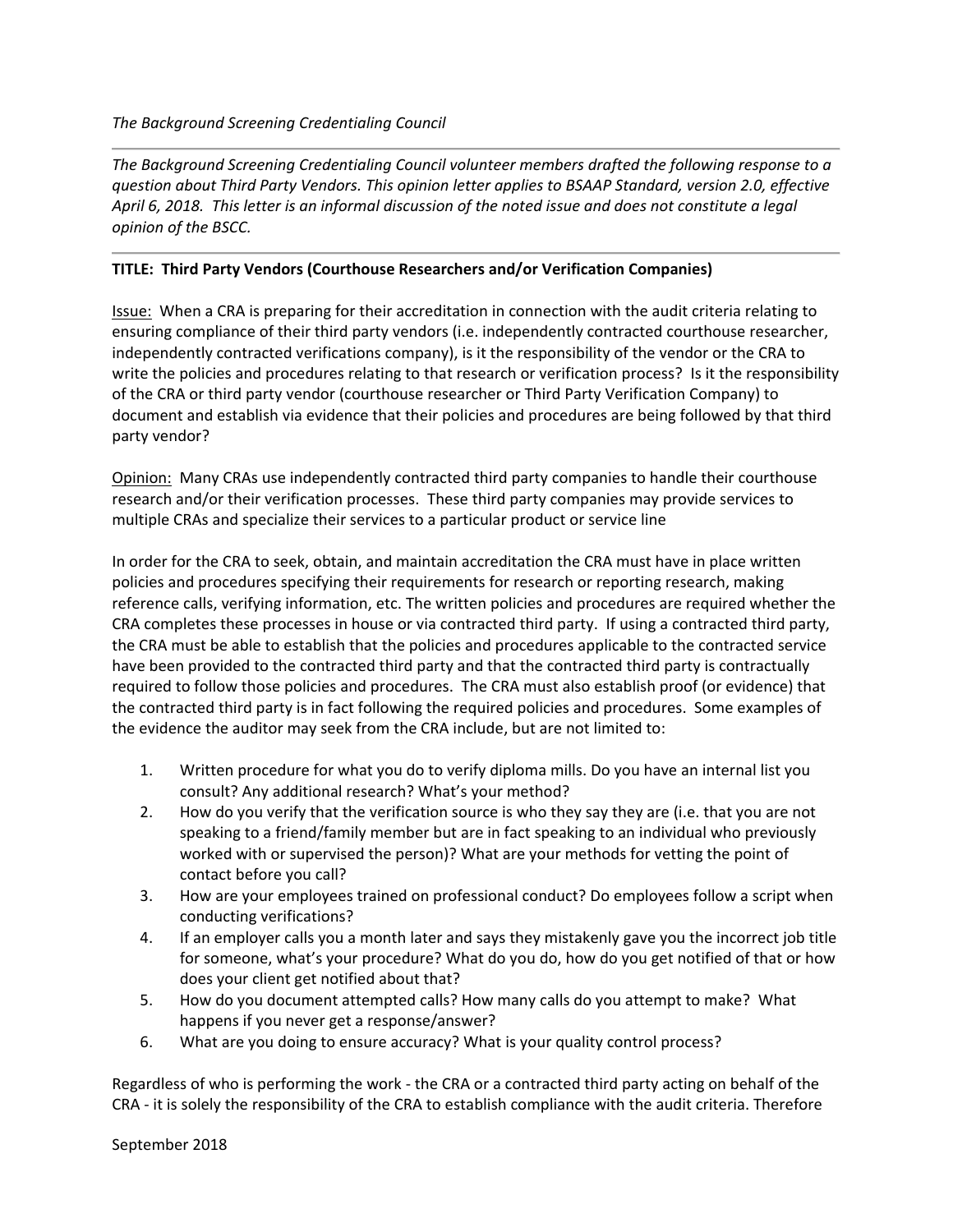*The Background Screening Credentialing Council volunteer members drafted the following response to a question about Third Party Vendors. This opinion letter applies to BSAAP Standard, version 2.0, effective April 6, 2018. This letter is an informal discussion of the noted issue and does not constitute a legal opinion of the BSCC.* 

## **TITLE: Third Party Vendors (Courthouse Researchers and/or Verification Companies)**

Issue: When a CRA is preparing for their accreditation in connection with the audit criteria relating to ensuring compliance of their third party vendors (i.e. independently contracted courthouse researcher, independently contracted verifications company), is it the responsibility of the vendor or the CRA to write the policies and procedures relating to that research or verification process? Is it the responsibility of the CRA or third party vendor (courthouse researcher or Third Party Verification Company) to document and establish via evidence that their policies and procedures are being followed by that third party vendor?

Opinion: Many CRAs use independently contracted third party companies to handle their courthouse research and/or their verification processes. These third party companies may provide services to multiple CRAs and specialize their services to a particular product or service line

In order for the CRA to seek, obtain, and maintain accreditation the CRA must have in place written policies and procedures specifying their requirements for research or reporting research, making reference calls, verifying information, etc. The written policies and procedures are required whether the CRA completes these processes in house or via contracted third party. If using a contracted third party, the CRA must be able to establish that the policies and procedures applicable to the contracted service have been provided to the contracted third party and that the contracted third party is contractually required to follow those policies and procedures. The CRA must also establish proof (or evidence) that the contracted third party is in fact following the required policies and procedures. Some examples of the evidence the auditor may seek from the CRA include, but are not limited to:

- 1. Written procedure for what you do to verify diploma mills. Do you have an internal list you consult? Any additional research? What's your method?
- 2. How do you verify that the verification source is who they say they are (i.e. that you are not speaking to a friend/family member but are in fact speaking to an individual who previously worked with or supervised the person)? What are your methods for vetting the point of contact before you call?
- 3. How are your employees trained on professional conduct? Do employees follow a script when conducting verifications?
- 4. If an employer calls you a month later and says they mistakenly gave you the incorrect job title for someone, what's your procedure? What do you do, how do you get notified of that or how does your client get notified about that?
- 5. How do you document attempted calls? How many calls do you attempt to make? What happens if you never get a response/answer?
- 6. What are you doing to ensure accuracy? What is your quality control process?

Regardless of who is performing the work - the CRA or a contracted third party acting on behalf of the CRA - it is solely the responsibility of the CRA to establish compliance with the audit criteria. Therefore